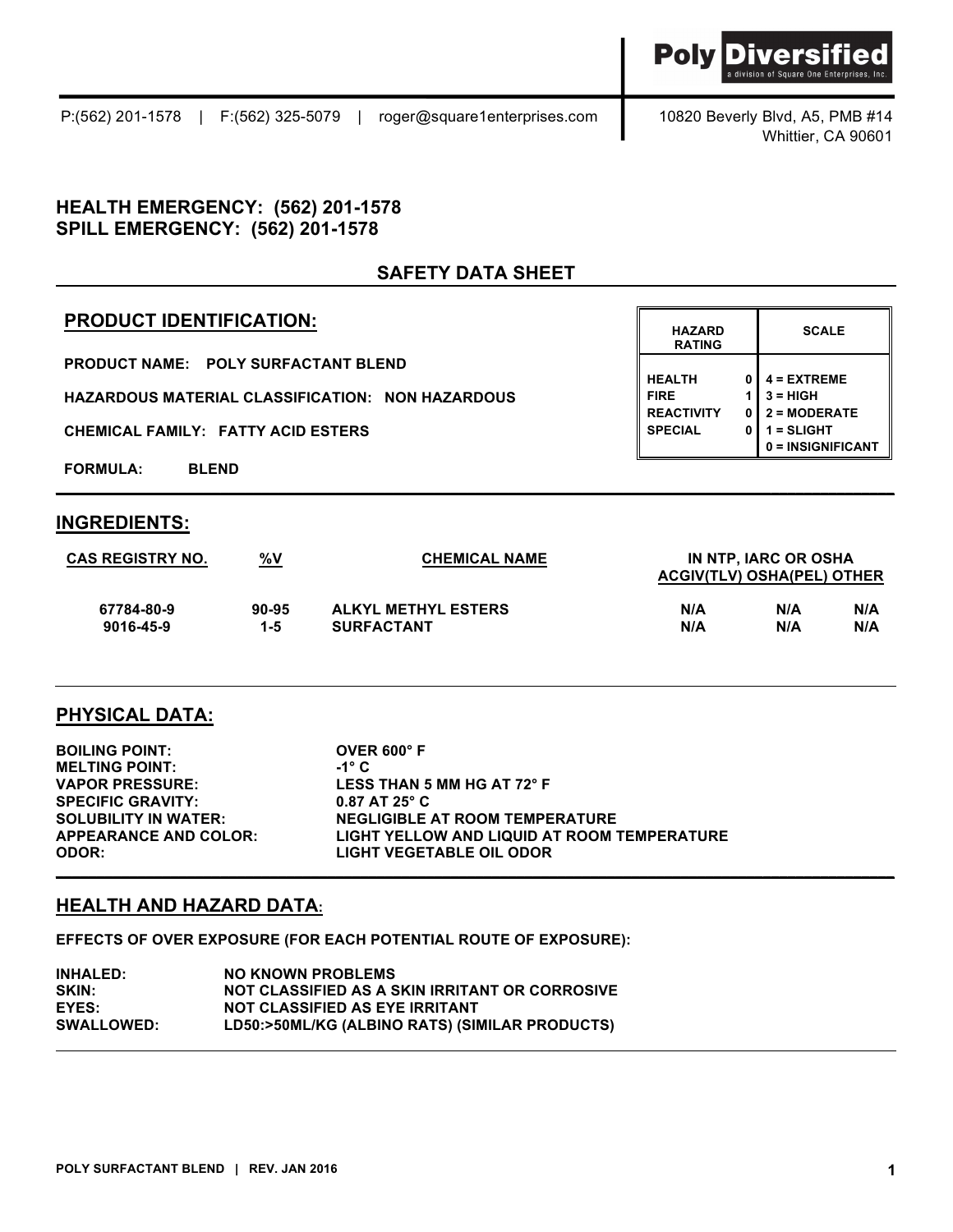Whittier, CA 90601

### **HEALTH EMERGENCY: (562) 201-1578 SPILL EMERGENCY: (562) 201-1578**

## **SAFETY DATA SHEET**

## **PRODUCT IDENTIFICATION:**

**PRODUCT NAME: POLY SURFACTANT BLEND**

**HAZARDOUS MATERIAL CLASSIFICATION: NON HAZARDOUS** 

**CHEMICAL FAMILY: FATTY ACID ESTERS** 

**FORMULA: BLEND**

#### **INGREDIENTS:**

| <b>CAS REGISTRY NO.</b> | %V        | <b>CHEMICAL NAME</b>       |                            | IN NTP. IARC OR OSHA |     |  |
|-------------------------|-----------|----------------------------|----------------------------|----------------------|-----|--|
|                         |           |                            | ACGIV(TLV) OSHA(PEL) OTHER |                      |     |  |
| 67784-80-9              | $90 - 95$ | <b>ALKYL METHYL ESTERS</b> | N/A                        | N/A                  | N/A |  |
| 9016-45-9               | 1-5       | <b>SURFACTANT</b>          | N/A                        | N/A                  | N/A |  |

**\_\_\_\_\_\_\_\_\_\_\_\_\_\_\_\_\_\_\_\_\_\_\_\_\_\_\_\_\_\_\_\_\_\_\_\_\_\_\_\_\_\_\_\_\_\_\_\_\_\_\_\_\_\_\_\_\_\_\_\_\_\_\_\_\_\_\_\_\_\_\_\_\_\_\_\_\_\_\_\_\_\_\_\_\_\_\_\_\_\_\_\_\_\_\_\_\_\_\_\_\_\_**

**\_\_\_\_\_\_\_\_\_\_\_\_\_\_\_\_\_\_\_\_\_\_\_\_\_\_\_\_\_\_\_\_\_\_\_\_\_\_\_\_\_\_\_\_\_\_\_\_\_\_\_\_\_\_\_\_\_\_\_\_\_\_\_\_\_\_\_\_\_\_\_\_\_\_\_\_\_\_\_\_\_\_\_\_\_\_\_\_\_\_\_\_\_\_\_\_\_\_\_\_\_\_**

### **PHYSICAL DATA:**

**BOILING POINT: OVER 600° F MELTING POINT: -1° C VAPOR PRESSURE: LESS THAN 5 MM HG AT 72° F SPECIFIC GRAVITY: 0.87 AT 25° C SOLUBILITY IN WATER: NEGLIGIBLE AT ROOM TEMPERATURE APPEARANCE AND COLOR: LIGHT YELLOW AND LIQUID AT ROOM TEMPERATURE ODOR: LIGHT VEGETABLE OIL ODOR** 

### **HEALTH AND HAZARD DATA:**

**EFFECTS OF OVER EXPOSURE (FOR EACH POTENTIAL ROUTE OF EXPOSURE):**

**INHALED: NO KNOWN PROBLEMS SKIN: NOT CLASSIFIED AS A SKIN IRRITANT OR CORROSIVE EYES: NOT CLASSIFIED AS EYE IRRITANT SWALLOWED: LD50:>50ML/KG (ALBINO RATS) (SIMILAR PRODUCTS)**

| <b>HAZARD</b><br><b>RATING</b>                                      |                  | <b>SCALE</b>                                                                       |
|---------------------------------------------------------------------|------------------|------------------------------------------------------------------------------------|
| <b>HEALTH</b><br><b>FIRE</b><br><b>REACTIVITY</b><br><b>SPECIAL</b> | 0<br>1<br>0<br>0 | $4 = EXTREME$<br>$3 = HIGH$<br>$2 = MODERATE$<br>$1 = SLIGHT$<br>0 = INSIGNIFICANT |